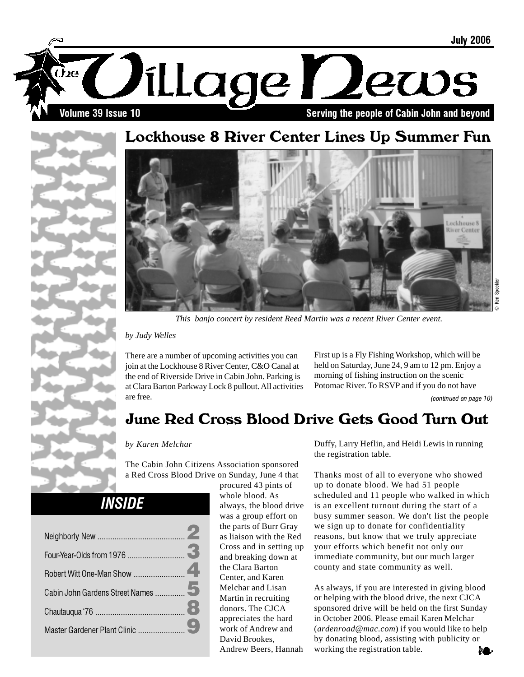

# Lockhouse 8 River Center Lines Up Summer Fun





*This banjo concert by resident Reed Martin was a recent River Center event.*

*by Judy Welles*

There are a number of upcoming activities you can join at the Lockhouse 8 River Center, C&O Canal at the end of Riverside Drive in Cabin John. Parking is at Clara Barton Parkway Lock 8 pullout. All activities are free.

First up is a Fly Fishing Workshop, which will be held on Saturday, June 24, 9 am to 12 pm. Enjoy a morning of fishing instruction on the scenic Potomac River. To RSVP and if you do not have

(continued on page 10)

# June Red Cross Blood Drive Gets Good Turn Out

### *by Karen Melchar*

The Cabin John Citizens Association sponsored a Red Cross Blood Drive on Sunday, June 4 that

**INSIDE** 

procured 43 pints of whole blood. As always, the blood drive was a group effort on the parts of Burr Gray as liaison with the Red Cross and in setting up and breaking down at the Clara Barton Center, and Karen Melchar and Lisan Martin in recruiting donors. The CJCA appreciates the hard work of Andrew and David Brookes, Andrew Beers, Hannah

Duffy, Larry Heflin, and Heidi Lewis in running the registration table.

Thanks most of all to everyone who showed up to donate blood. We had 51 people scheduled and 11 people who walked in which is an excellent turnout during the start of a busy summer season. We don't list the people we sign up to donate for confidentiality reasons, but know that we truly appreciate your efforts which benefit not only our immediate community, but our much larger county and state community as well.

As always, if you are interested in giving blood or helping with the blood drive, the next CJCA sponsored drive will be held on the first Sunday in October 2006. Please email Karen Melchar (*ardenroad@mac.com*) if you would like to help by donating blood, assisting with publicity or working the registration table.

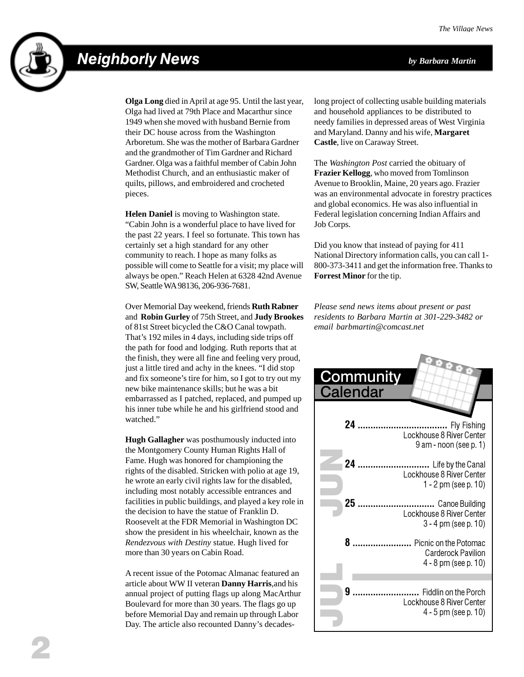# Neighborly News *by Barbara Martin*



**Olga Long** died in April at age 95. Until the last year, Olga had lived at 79th Place and Macarthur since 1949 when she moved with husband Bernie from their DC house across from the Washington Arboretum. She was the mother of Barbara Gardner and the grandmother of Tim Gardner and Richard Gardner. Olga was a faithful member of Cabin John Methodist Church, and an enthusiastic maker of quilts, pillows, and embroidered and crocheted pieces.

**Helen Daniel** is moving to Washington state. "Cabin John is a wonderful place to have lived for the past 22 years. I feel so fortunate. This town has certainly set a high standard for any other community to reach. I hope as many folks as possible will come to Seattle for a visit; my place will always be open." Reach Helen at 6328 42nd Avenue SW, Seattle WA 98136, 206-936-7681.

Over Memorial Day weekend, friends **Ruth Rabner** and **Robin Gurley** of 75th Street, and **Judy Brookes** of 81st Street bicycled the C&O Canal towpath. That's 192 miles in 4 days, including side trips off the path for food and lodging. Ruth reports that at the finish, they were all fine and feeling very proud, just a little tired and achy in the knees. "I did stop and fix someone's tire for him, so I got to try out my new bike maintenance skills; but he was a bit embarrassed as I patched, replaced, and pumped up his inner tube while he and his girlfriend stood and watched."

**Hugh Gallagher** was posthumously inducted into the Montgomery County Human Rights Hall of Fame. Hugh was honored for championing the rights of the disabled. Stricken with polio at age 19, he wrote an early civil rights law for the disabled, including most notably accessible entrances and facilities in public buildings, and played a key role in the decision to have the statue of Franklin D. Roosevelt at the FDR Memorial in Washington DC show the president in his wheelchair, known as the *Rendezvous with Destiny* statue. Hugh lived for more than 30 years on Cabin Road.

A recent issue of the Potomac Almanac featured an article about WW II veteran **Danny Harris**,and his annual project of putting flags up along MacArthur Boulevard for more than 30 years. The flags go up before Memorial Day and remain up through Labor Day. The article also recounted Danny's decadeslong project of collecting usable building materials and household appliances to be distributed to needy families in depressed areas of West Virginia and Maryland. Danny and his wife, **Margaret Castle**, live on Caraway Street.

The *Washington Post* carried the obituary of **Frazier Kellogg**, who moved from Tomlinson Avenue to Brooklin, Maine, 20 years ago. Frazier was an environmental advocate in forestry practices and global economics. He was also influential in Federal legislation concerning Indian Affairs and Job Corps.

Did you know that instead of paying for 411 National Directory information calls, you can call 1- 800-373-3411 and get the information free. Thanks to **Forrest Minor** for the tip.

*Please send news items about present or past residents to Barbara Martin at 301-229-3482 or email barbmartin@comcast.net*

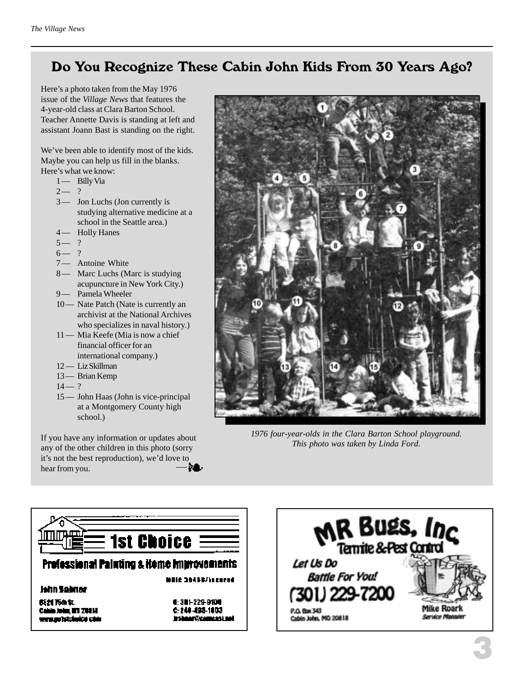## Do You Recognize These Cabin John Kids From 30 Years Ago?

Here's a photo taken from the May 1976 issue of the *Village News* that features the 4-year-old class at Clara Barton School. Teacher Annette Davis is standing at left and assistant Joann Bast is standing on the right.

We've been able to identify most of the kids. Maybe you can help us fill in the blanks. Here's what we know:

- 1 Billy Via
- $2 ?$
- 3— Jon Luchs (Jon currently is studying alternative medicine at a school in the Seattle area.)
- 4 Holly Hanes
- $5 2$
- $6 ?$
- 7- Antoine White
- 8 Marc Luchs (Marc is studying acupuncture in New York City.)
- 9 Pamela Wheeler
- 10 Nate Patch (Nate is currently an archivist at the National Archives who specializes in naval history.)
- 11 Mia Keefe (Mia is now a chief financial officer for an international company.)
- 12 Liz Skillman
- 13 Brian Kemp
- $14 ?$
- 15 John Haas (John is vice-principal at a Montgomery County high school.)

If you have any information or updates about any of the other children in this photo (sorry it's not the best reproduction), we'd love to hear from you.



*1976 four-year-olds in the Clara Barton School playground. This photo was taken by Linda Ford.*



Cahin John, NY 2011. uuraan istokukse ohk 6:249-498-1003 instance (Transcapture)

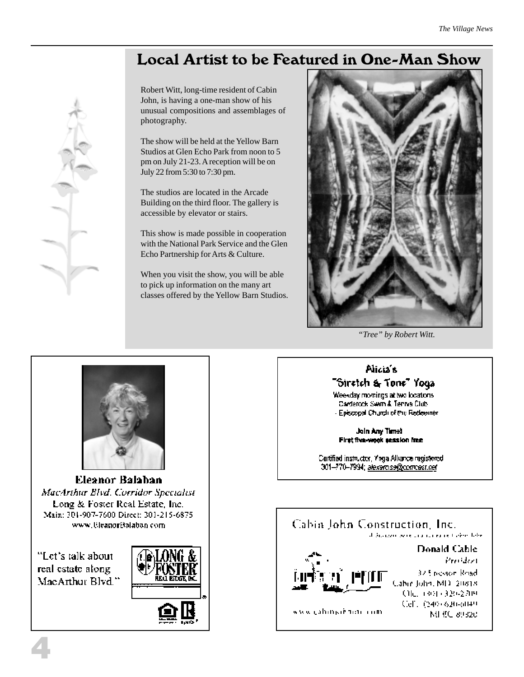# Local Artist to be Featured in One-Man Show

Robert Witt, long-time resident of Cabin John, is having a one-man show of his unusual compositions and assemblages of photography.

The show will be held at the Yellow Barn Studios at Glen Echo Park from noon to 5 pm on July 21-23. A reception will be on July 22 from 5:30 to 7:30 pm.

The studios are located in the Arcade Building on the third floor. The gallery is accessible by elevator or stairs.

This show is made possible in cooperation with the National Park Service and the Glen Echo Partnership for Arts & Culture.

When you visit the show, you will be able to pick up information on the many art classes offered by the Yellow Barn Studios.



*"Tree" by Robert Witt.*

# Alicia's "Stretch & Tone" Yoga

Weekday momings at two locations Carderock Swim & Tennis Club - Episcopal Church of the Redeemer.

Join Any Time! First five-wook session free

Cartified instructor, Yoga Alliance registered 301-770-7994; alexarcise@compast.net







Eleanor Balaban MacArthur Blvd. Corridor Specialist Long & Foster Real Estate, Inc. Main: 301-907-7600 Direct: 301-215-6875 www.UleanorBalaban.com

"Let's talk about real estate along MacArthur Blvd."

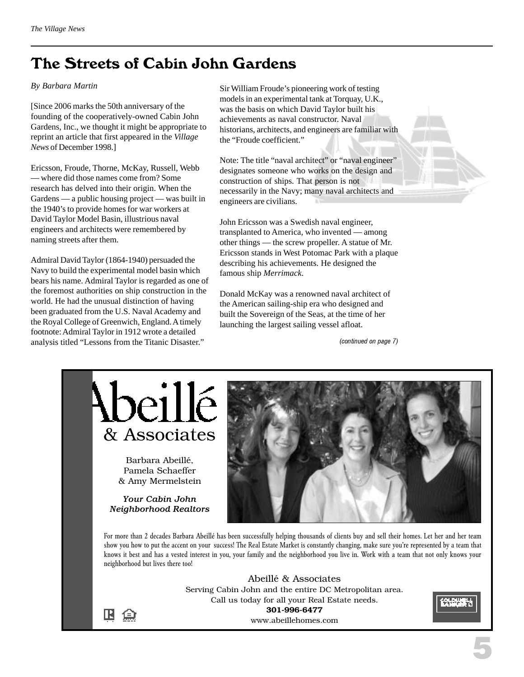# The Streets of Cabin John Gardens

#### *By Barbara Martin*

[Since 2006 marks the 50th anniversary of the founding of the cooperatively-owned Cabin John Gardens, Inc., we thought it might be appropriate to reprint an article that first appeared in the *Village News* of December 1998.]

Ericsson, Froude, Thorne, McKay, Russell, Webb — where did those names come from? Some research has delved into their origin. When the Gardens — a public housing project — was built in the 1940's to provide homes for war workers at David Taylor Model Basin, illustrious naval engineers and architects were remembered by naming streets after them.

Admiral David Taylor (1864-1940) persuaded the Navy to build the experimental model basin which bears his name. Admiral Taylor is regarded as one of the foremost authorities on ship construction in the world. He had the unusual distinction of having been graduated from the U.S. Naval Academy and the Royal College of Greenwich, England. A timely footnote: Admiral Taylor in 1912 wrote a detailed analysis titled "Lessons from the Titanic Disaster."

Sir William Froude's pioneering work of testing models in an experimental tank at Torquay, U.K., was the basis on which David Taylor built his achievements as naval constructor. Naval historians, architects, and engineers are familiar with the "Froude coefficient."

Note: The title "naval architect" or "naval engineer" designates someone who works on the design and construction of ships. That person is not necessarily in the Navy; many naval architects and engineers are civilians.

John Ericsson was a Swedish naval engineer, transplanted to America, who invented — among other things — the screw propeller. A statue of Mr. Ericsson stands in West Potomac Park with a plaque describing his achievements. He designed the famous ship *Merrimack*.

Donald McKay was a renowned naval architect of the American sailing-ship era who designed and built the Sovereign of the Seas, at the time of her launching the largest sailing vessel afloat.

(continued on page 7)



Barbara Abeillé, Pamela Schaeffer & Amy Mermelstein

*Your Cabin John Neighborhood Realtors*

 $\mathbb B$   $\oplus$ 



For more than 2 decades Barbara Abeillé has been successfully helping thousands of clients buy and sell their homes. Let her and her team show you how to put the accent on your success! The Real Estate Market is constantly changing, make sure you're represented by a team that knows it best and has a vested interest in you, your family and the neighborhood you live in. Work with a team that not only knows your neighborhood but lives there too!

> Abeillé & Associates Serving Cabin John and the entire DC Metropolitan area. Call us today for all your Real Estate needs. **301-996-6477** www.abeillehomes.com

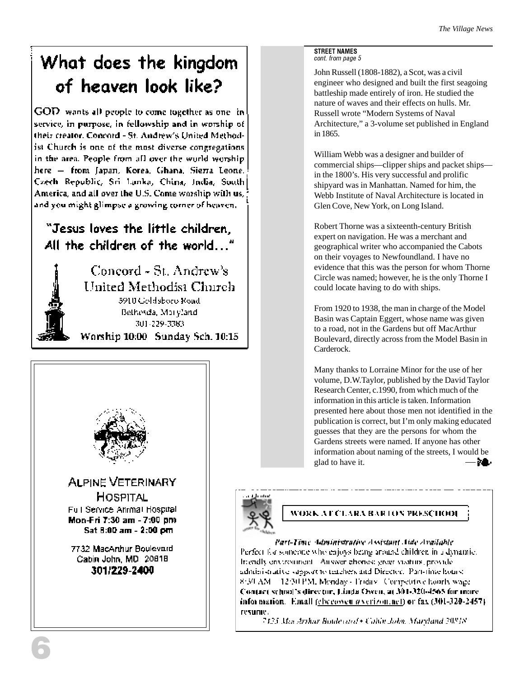# What does the kingdom of heaven look like?

GOD wants all people to come together as one in service, in purpose, in fellowship and in worship of their creator. Concord - St. Andrew's United Methodist Church is one of the most diverse congregations in the area. People from all over the world worshiphere - from Japan, Korea, Ghana, Sierra Leone. Czech Republic, Sri Lanka, China, India, South] America, and all over the U.S. Come worship with us, and you might glimpse a growing corner of heaven.

### "Jesus loves the little children. All the children of the world..."



Concord - St. Andrew's United Methodist Church 5910 Goldsboro Road Bethesda, Maryland 301-229-3383 Worship 10:00 Sunday Sch. 10:15



#### STREET NAMES cont. from page 5

John Russell (1808-1882), a Scot, was a civil engineer who designed and built the first seagoing battleship made entirely of iron. He studied the nature of waves and their effects on hulls. Mr. Russell wrote "Modern Systems of Naval Architecture," a 3-volume set published in England in 1865.

William Webb was a designer and builder of commercial ships—clipper ships and packet ships in the 1800's. His very successful and prolific shipyard was in Manhattan. Named for him, the Webb Institute of Naval Architecture is located in Glen Cove, New York, on Long Island.

Robert Thorne was a sixteenth-century British expert on navigation. He was a merchant and geographical writer who accompanied the Cabots on their voyages to Newfoundland. I have no evidence that this was the person for whom Thorne Circle was named; however, he is the only Thorne I could locate having to do with ships.

From 1920 to 1938, the man in charge of the Model Basin was Captain Eggert, whose name was given to a road, not in the Gardens but off MacArthur Boulevard, directly across from the Model Basin in Carderock.

Many thanks to Lorraine Minor for the use of her volume, D.W.Taylor, published by the David Taylor Research Center, c.1990, from which much of the information in this article is taken. Information presented here about those men not identified in the publication is correct, but I'm only making educated guesses that they are the persons for whom the Gardens streets were named. If anyone has other information about naming of the streets, I would be glad to have it.— 21.



### WORK AT CLARA BARTON PRESCHOOL

Part-Time Administrative Assistant Aide Available Perfect for someone who enjoys being around children in a dynamic. Imendly environment. Answer phones: green visiturs, provideadministrative support to teachers and Director. Part-time hours: 8:30 AM 12:30 PM, Menday - Friday: Competitive hourly wage. Contact school's director, Linda Oven, at 301-320-4565 for more information. Email (checonon averizon.net) or fax (301-320-2457). resume.

7425 MacArthar Boulevard + Cabin John, Maryland 20818.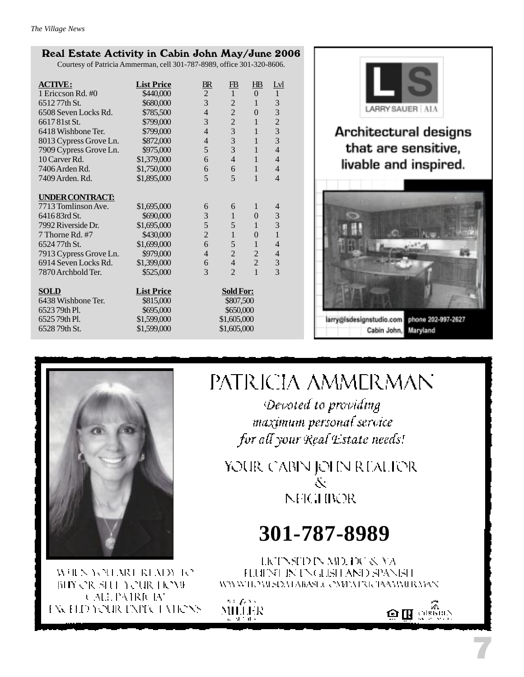### Real Estate Activity in Cabin John May/June 2006

Courtesy of Patricia Ammerman, cell 301-787-8989, office 301-320-8606.

| <b>List Price</b> | $B\!R$                                                                    | $\overline{\text{EB}}$                          | $H\!B$                                                                                                                | Lyl                                                       |
|-------------------|---------------------------------------------------------------------------|-------------------------------------------------|-----------------------------------------------------------------------------------------------------------------------|-----------------------------------------------------------|
| \$440,000         |                                                                           | $\mathbf{1}$                                    | $\theta$                                                                                                              | $\mathbf{1}$                                              |
| \$680,000         | 3                                                                         | $\overline{2}$                                  | $\mathbf{1}$                                                                                                          | 3                                                         |
| \$785,500         | $\overline{4}$                                                            | $\overline{2}$                                  | $\overline{0}$                                                                                                        | 3                                                         |
| \$799,000         | 3                                                                         |                                                 | $\mathbf{1}$                                                                                                          | $\overline{2}$                                            |
| \$799,000         | $\overline{4}$                                                            |                                                 | $\mathbf{1}$                                                                                                          | 3                                                         |
| \$872,000         | $\overline{4}$                                                            |                                                 | $\mathbf{1}$                                                                                                          | 3                                                         |
| \$975,000         | 5                                                                         |                                                 | $\mathbf{1}$                                                                                                          | $\overline{4}$                                            |
| \$1,379,000       | 6                                                                         | $\overline{4}$                                  | $\mathbf{1}$                                                                                                          | $\overline{4}$                                            |
| \$1,750,000       | 6                                                                         | 6                                               | $\mathbf{1}$                                                                                                          | $\overline{4}$                                            |
| \$1,895,000       |                                                                           | 5                                               | $\mathbf{1}$                                                                                                          | $\overline{4}$                                            |
|                   |                                                                           |                                                 |                                                                                                                       |                                                           |
|                   |                                                                           |                                                 |                                                                                                                       |                                                           |
| \$1,695,000       | 6                                                                         | 6                                               | 1                                                                                                                     | $\overline{4}$                                            |
| \$690,000         | 3                                                                         | $\mathbf{1}$                                    | $\theta$                                                                                                              | 3                                                         |
|                   |                                                                           |                                                 | $\mathbf{1}$                                                                                                          | 3                                                         |
| \$430,000         |                                                                           |                                                 | $\overline{0}$                                                                                                        | $\mathbf{1}$                                              |
| \$1,699,000       |                                                                           |                                                 | $\mathbf{1}$                                                                                                          | $\overline{4}$                                            |
| \$979,000         | $\overline{4}$                                                            |                                                 | $\overline{2}$                                                                                                        | $\overline{4}$                                            |
| \$1,399,000       | 6                                                                         |                                                 |                                                                                                                       | 3                                                         |
| \$525,000         | 3                                                                         | $\mathfrak{D}$                                  | $\mathbf{1}$                                                                                                          | 3                                                         |
|                   |                                                                           |                                                 |                                                                                                                       |                                                           |
|                   | <b>Sold For:</b>                                                          |                                                 |                                                                                                                       |                                                           |
|                   | \$807,500                                                                 |                                                 |                                                                                                                       |                                                           |
|                   |                                                                           |                                                 |                                                                                                                       |                                                           |
|                   |                                                                           |                                                 |                                                                                                                       |                                                           |
| \$1,599,000       |                                                                           |                                                 |                                                                                                                       |                                                           |
|                   | \$1,695,000<br><b>List Price</b><br>\$815,000<br>\$695,000<br>\$1,599,000 | $\overline{c}$<br>5<br>5<br>$\overline{2}$<br>6 | $\overline{2}$<br>3<br>$\overline{3}$<br>$\overline{3}$<br>5<br>$\mathbf{1}$<br>5<br>$\overline{2}$<br>$\overline{4}$ | $\overline{2}$<br>\$650,000<br>\$1,605,000<br>\$1,605,000 |



## Architectural designs that are sensitive, livable and inspired.





WHEN YOU MOUNTAIN TO BIY OR SHE YOUR HOME CALL PAIRICIAN EXCELD YOUR EXPICT VIRONS

# PATRICIA AMMERMAN

Devoted to providing maximum personal service for all your Real Estate needs!

YOUR CABIN JOHN REALIER Ň **NFIGHBOR** 

# **301-787-8989**

LICTNSTD IN MD. DC & VA FLUENT IN ENGLISH AND SPANISH WWWIEZWSIEMARAS J. CMPATRICIAAAMIR MAN

 $\mathcal{O} \in \mathcal{E}^{1,0,1,1}$ MILLER



7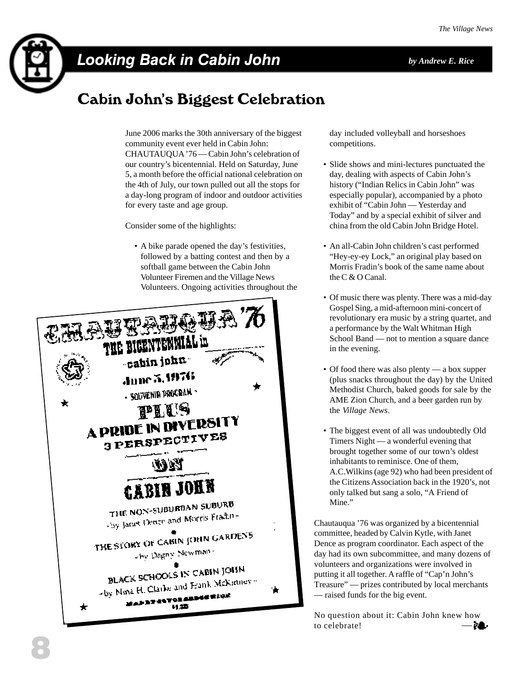

# Looking Back in Cabin John *by Andrew E. Rice*

# Cabin John's Biggest Celebration

June 2006 marks the 30th anniversary of the biggest community event ever held in Cabin John: CHAUTAUQUA '76 — Cabin John's celebration of our country's bicentennial. Held on Saturday, June 5, a month before the official national celebration on the 4th of July, our town pulled out all the stops for a day-long program of indoor and outdoor activities for every taste and age group.

Consider some of the highlights:

 • A bike parade opened the day's festivities, followed by a batting contest and then by a softball game between the Cabin John Volunteer Firemen and the Village News Volunteers. Ongoing activities throughout the



day included volleyball and horseshoes competitions.

- Slide shows and mini-lectures punctuated the day, dealing with aspects of Cabin John's history ("Indian Relics in Cabin John" was especially popular), accompanied by a photo exhibit of "Cabin John — Yesterday and Today" and by a special exhibit of silver and china from the old Cabin John Bridge Hotel.
- An all-Cabin John children's cast performed "Hey-ey-ey Lock," an original play based on Morris Fradin's book of the same name about the C & O Canal.
- Of music there was plenty. There was a mid-day Gospel Sing, a mid-afternoon mini-concert of revolutionary era music by a string quartet, and a performance by the Walt Whitman High School Band — not to mention a square dance in the evening.
- Of food there was also plenty a box supper (plus snacks throughout the day) by the United Methodist Church, baked goods for sale by the AME Zion Church, and a beer garden run by the *Village News*.
- The biggest event of all was undoubtedly Old Timers Night — a wonderful evening that brought together some of our town's oldest inhabitants to reminisce. One of them, A.C.Wilkins (age 92) who had been president of the Citizens Association back in the 1920's, not only talked but sang a solo, "A Friend of Mine."

Chautauqua '76 was organized by a bicentennial committee, headed by Calvin Kytle, with Janet Dence as program coordinator. Each aspect of the day had its own subcommittee, and many dozens of volunteers and organizations were involved in putting it all together. A raffle of "Cap'n John's Treasure" — prizes contributed by local merchants — raised funds for the big event.

No question about it: Cabin John knew how to celebrate!— ≱4⊳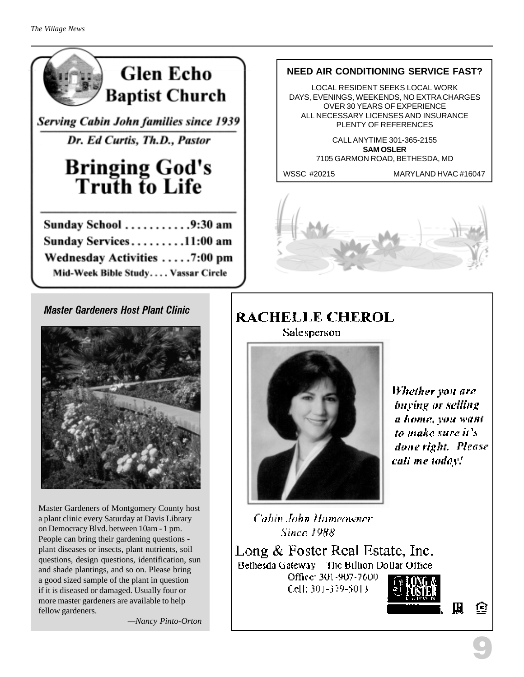

**Serving Cabin John families since 1939** 

Dr. Ed Curtis, Th.D., Pastor

# **Bringing God's**<br>Truth to Life

| Sunday School 9:30 am              |  |
|------------------------------------|--|
| Sunday Services11:00 am            |  |
| Wednesday Activities 7:00 pm       |  |
| Mid-Week Bible Study Vassar Circle |  |

### Master Gardeners Host Plant Clinic



Master Gardeners of Montgomery County host a plant clinic every Saturday at Davis Library on Democracy Blvd. between 10am - 1 pm. People can bring their gardening questions plant diseases or insects, plant nutrients, soil questions, design questions, identification, sun and shade plantings, and so on. Please bring a good sized sample of the plant in question if it is diseased or damaged. Usually four or more master gardeners are available to help fellow gardeners.

*—Nancy Pinto-Orton*

### **NEED AIR CONDITIONING SERVICE FAST?**

LOCAL RESIDENT SEEKS LOCAL WORK DAYS, EVENINGS, WEEKENDS, NO EXTRA CHARGES OVER 30 YEARS OF EXPERIENCE ALL NECESSARY LICENSES AND INSURANCE PLENTY OF REFERENCES

> CALL ANYTIME 301-365-2155 **SAM OSLER** 7105 GARMON ROAD, BETHESDA, MD

WSSC #20215 MARYLAND HVAC #16047



### **RACHELLE CHEROL** Salesperson



Whether you are buying or selling a home, you want to make sure it's done right. Please call me today!

Cabin John Homeowner **Since 1988** 

Long & Foster Real Estate, Inc. Bethesda Gateway The Billion Dollar Office Office: 301-907-7600 Cell: 301-379-5013.



€

鳯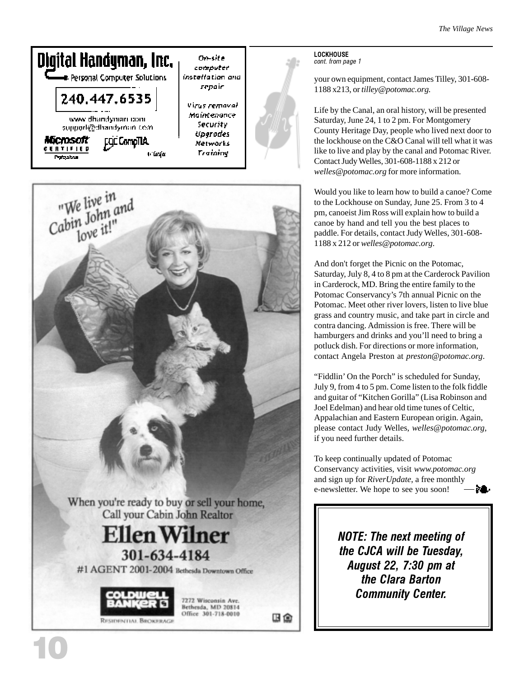



10

LOCKHOUSE cont. from page 1

your own equipment, contact James Tilley, 301-608- 1188 x213, or *tilley@potomac.org.*

Life by the Canal, an oral history, will be presented Saturday, June 24, 1 to 2 pm. For Montgomery County Heritage Day, people who lived next door to the lockhouse on the C&O Canal will tell what it was like to live and play by the canal and Potomac River. Contact Judy Welles, 301-608-1188 x 212 or *welles@potomac.org* for more information.

Would you like to learn how to build a canoe? Come to the Lockhouse on Sunday, June 25. From 3 to 4 pm, canoeist Jim Ross will explain how to build a canoe by hand and tell you the best places to paddle. For details, contact Judy Welles, 301-608- 1188 x 212 or *welles@potomac.org* .

And don't forget the Picnic on the Potomac, Saturday, July 8, 4 to 8 pm at the Carderock Pavilion in Carderock, MD. Bring the entire family to the Potomac Conservancy's 7th annual Picnic on the Potomac. Meet other river lovers, listen to live blue grass and country music, and take part in circle and contra dancing. Admission is free. There will be hamburgers and drinks and you'll need to bring a potluck dish. For directions or more information, contact Angela Preston at *preston@potomac.org* .

"Fiddlin' On the Porch" is scheduled for Sunday, July 9, from 4 to 5 pm. Come listen to the folk fiddle and guitar of "Kitchen Gorilla" (Lisa Robinson and Joel Edelman) and hear old time tunes of Celtic, Appalachian and Eastern European origin. Again, please contact Judy Welles, *welles@potomac.org,* if you need further details.

To keep continually updated of Potomac Conservancy activities, visit *www.potomac.org* and sign up for *RiverUpdate*, a free monthly e-newsletter. We hope to see you soon!

> NOTE: The next meeting of the CJCA will be Tuesday, August 22, 7:30 pm at the Clara Barton Community Center.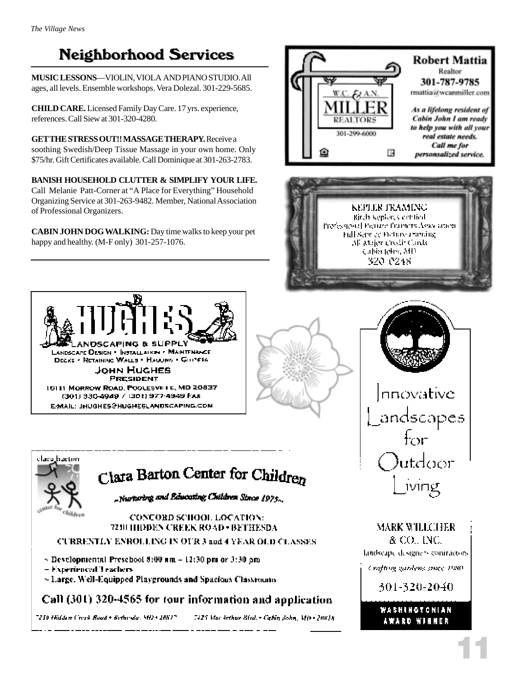# **Neighborhood Services**

**MUSIC LESSONS**—VIOLIN, VIOLA AND PIANO STUDIO. All ages, all levels. Ensemble workshops. Vera Dolezal. 301-229-5685.

**CHILD CARE.** Licensed Family Day Care. 17 yrs. experience, references. Call Siew at 301-320-4280.

**GET THE STRESS OUT!! MASSAGE THERAPY.** Receive a soothing Swedish/Deep Tissue Massage in your own home. Only \$75/hr. Gift Certificates available. Call Dominique at 301-263-2783.

**BANISH HOUSEHOLD CLUTTER & SIMPLIFY YOUR LIFE.** Call Melanie Patt-Corner at "A Place for Everything" Household Organizing Service at 301-263-9482. Member, National Association of Professional Organizers.

**CABIN JOHN DOG WALKING:** Day time walks to keep your pet happy and healthy. (M-F only) 301-257-1076.





 $\_$ Nurturing and Educating Children Since 1975.

### CONCORD SCHOOL LOCATION: 7210 HIDDEN CREEK ROAD + BETHESDA

### **CURRENTLY ENROLLING IN OUR 3 and 4 YEAR OLD CLASSES**

- $\sim$  Developmental Preschool 8:00 am  $-12:30$  pm or 3:30 pm
- Experienced Teachers

Wildres

:laca.bacton

~ Large, Well-Equipped Playgrounds and Spacious Classrounts

### Call (301) 320-4565 for tour information and application

"210 Hidden Creak Road + Bethesda, MD + 2081"

7425 Mar Arthur Blvd. - Cabin John, Mth - 20018.





MARK WILLCHER & CO., INC. landscape designers contractors.

Crafting gardens ance PRO-

301-320-2040

### WASHINGTONIAN AWARD WINNER

11